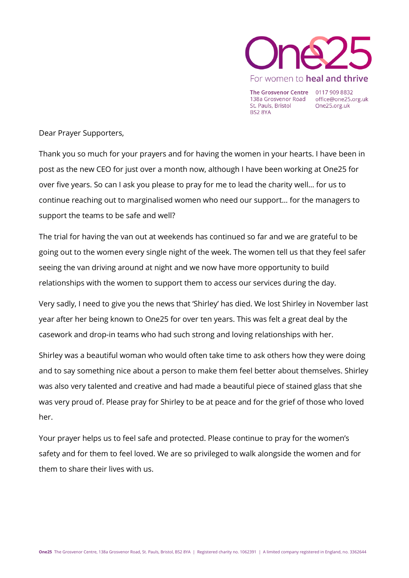

The Grosvenor Centre 0117 909 8832 138a Grosvenor Road office@one25.org.uk St. Pauls, Bristol **BS2 8YA** 

One25.org.uk

Dear Prayer Supporters,

Thank you so much for your prayers and for having the women in your hearts. I have been in post as the new CEO for just over a month now, although I have been working at One25 for over five years. So can I ask you please to pray for me to lead the charity well… for us to continue reaching out to marginalised women who need our support… for the managers to support the teams to be safe and well?

The trial for having the van out at weekends has continued so far and we are grateful to be going out to the women every single night of the week. The women tell us that they feel safer seeing the van driving around at night and we now have more opportunity to build relationships with the women to support them to access our services during the day.

Very sadly, I need to give you the news that 'Shirley' has died. We lost Shirley in November last year after her being known to One25 for over ten years. This was felt a great deal by the casework and drop-in teams who had such strong and loving relationships with her.

Shirley was a beautiful woman who would often take time to ask others how they were doing and to say something nice about a person to make them feel better about themselves. Shirley was also very talented and creative and had made a beautiful piece of stained glass that she was very proud of. Please pray for Shirley to be at peace and for the grief of those who loved her.

Your prayer helps us to feel safe and protected. Please continue to pray for the women's safety and for them to feel loved. We are so privileged to walk alongside the women and for them to share their lives with us.